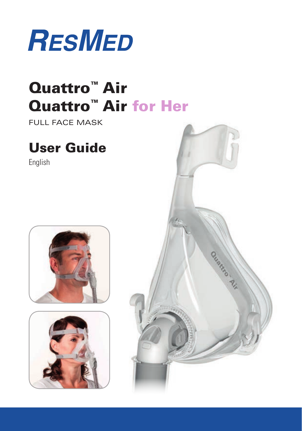

# Quattro™ Air Quattro™ Air for Her

Full Face Mask

## User Guide

English





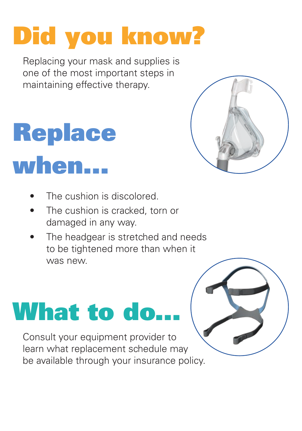# Did you know?

Replacing your mask and supplies is one of the most important steps in maintaining effective therapy.

# **Replace** when...

- The cushion is discolored.
- The cushion is cracked, torn or damaged in any way.
- The headgear is stretched and needs to be tightened more than when it was new.

# **What to do.**

Consult your equipment provider to learn what replacement schedule may be available through your insurance policy.

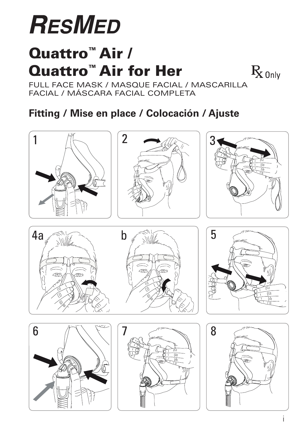# **RESMED**

# Quattro™ Air / Quattro™ Air for Her

 $\rm R_{\rm 0}$ <sub>0nly</sub>

FULL FACE MASK / MASQUE FACIAL / MASCARILLA facial / Máscara Facial Completa

### **Fitting / Mise en place / Colocación / Ajuste**

















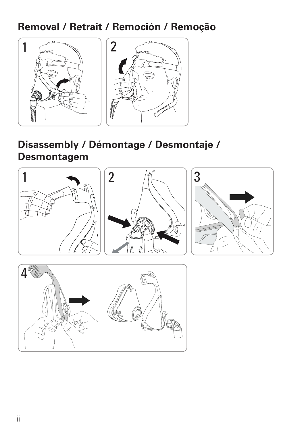#### **Removal / Retrait / Remoción / Remoção**



#### **Disassembly / Démontage / Desmontaje / Desmontagem**



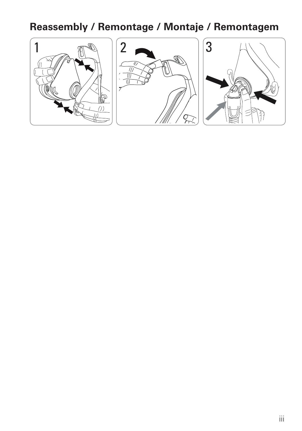### **Reassembly / Remontage / Montaje / Remontagem**

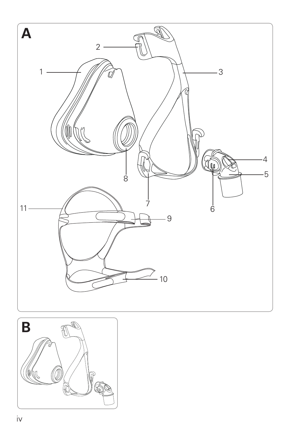

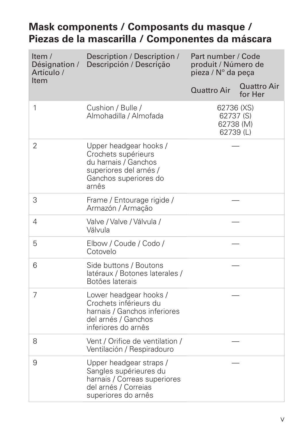#### **Mask components / Composants du masque / Piezas de la mascarilla / Componentes da máscara**

| Item /<br>Désignation /<br>Artículo / | Description / Description /<br>Descripción / Descrição                                                                            | Part number / Code<br>produit / Número de<br>pieza / Nº da peça |                                     |
|---------------------------------------|-----------------------------------------------------------------------------------------------------------------------------------|-----------------------------------------------------------------|-------------------------------------|
| Item                                  |                                                                                                                                   | Quattro Air                                                     | Quattro Air<br>for Her              |
| 1                                     | Cushion / Bulle /<br>Almohadilla / Almofada                                                                                       | 62736 (XS)                                                      | 62737 (S)<br>62738 (M)<br>62739 (L) |
| 2                                     | Upper headgear hooks /<br>Crochets supérieurs<br>du harnais / Ganchos<br>superiores del arnés /<br>Ganchos superiores do<br>arnês |                                                                 |                                     |
| 3                                     | Frame / Entourage rigide /<br>Armazón / Armação                                                                                   |                                                                 |                                     |
| 4                                     | Valve / Valve / Válvula /<br>Válvula                                                                                              |                                                                 |                                     |
| 5                                     | Elbow / Coude / Codo /<br>Cotovelo                                                                                                |                                                                 |                                     |
| 6                                     | Side buttons / Boutons<br>latéraux / Botones laterales /<br>Botões laterais                                                       |                                                                 |                                     |
| 7                                     | Lower headgear hooks /<br>Crochets inférieurs du<br>harnais / Ganchos inferiores<br>del arnés / Ganchos<br>inferiores do arnês    |                                                                 |                                     |
| 8                                     | Vent / Orifice de ventilation /<br>Ventilación / Respiradouro                                                                     |                                                                 |                                     |
| 9                                     | Upper headgear straps /<br>Sangles supérieures du<br>harnais / Correas superiores<br>del arnés / Correias<br>superiores do arnês  |                                                                 |                                     |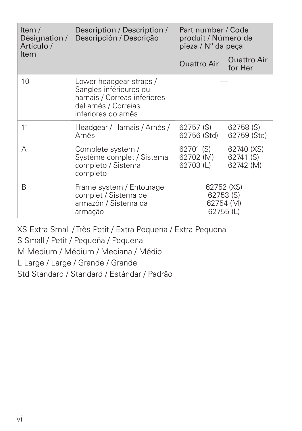| Item $/$<br>Désignation /<br>Artículo / | Description / Description /<br>Descripción / Descrição                                                                           | Part number / Code<br>produit / Número de<br>pieza / N° da peça |                                      |
|-----------------------------------------|----------------------------------------------------------------------------------------------------------------------------------|-----------------------------------------------------------------|--------------------------------------|
| Item                                    |                                                                                                                                  | <b>Quattro Air</b>                                              | Quattro Air<br>for Her               |
| 10                                      | Lower headgear straps /<br>Sangles inférieures du<br>harnais / Correas inferiores<br>del arnés / Correias<br>inferiores do arnês |                                                                 |                                      |
| 11                                      | Headgear / Harnais / Arnés /<br>Arnês                                                                                            | 62757 (S)<br>62756 (Std)                                        | 62758 (S)<br>62759 (Std)             |
| А                                       | Complete system /<br>Système complet / Sistema<br>completo / Sistema<br>completo                                                 | 62701 (S)<br>62702 (M)<br>62703(L)                              | 62740 (XS)<br>62741 (S)<br>62742 (M) |
| R                                       | Frame system / Entourage<br>complet / Sistema de<br>armazón / Sistema da<br>armacão                                              | 62752 (XS)<br>62753 (S)<br>62754 (M)<br>62755 (L)               |                                      |

XS Extra Small / Très Petit / Extra Pequeña / Extra Pequena

S Small / Petit / Pequeña / Pequena

M Medium / Médium / Mediana / Médio

L Large / Large / Grande / Grande

Std Standard / Standard / Estándar / Padrão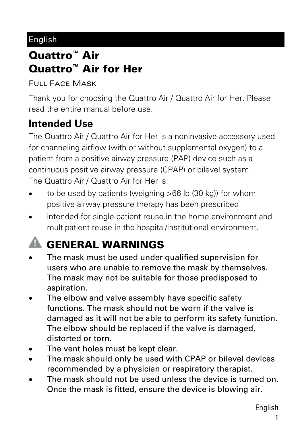#### English

### Quattro™ Air Quattro™ Air for Her

FULL FACE MASK

Thank you for choosing the Quattro Air / Quattro Air for Her. Please read the entire manual before use.

#### **Intended Use**

The Quattro Air / Quattro Air for Her is a noninvasive accessory used for channeling airflow (with or without supplemental oxygen) to a patient from a positive airway pressure (PAP) device such as a continuous positive airway pressure (CPAP) or bilevel system. The Quattro Air / Quattro Air for Her is:

- to be used by patients (weighing >66 lb (30 kg)) for whom positive airway pressure therapy has been prescribed
- intended for single-patient reuse in the home environment and multipatient reuse in the hospital/institutional environment.

## **A GENERAL WARNINGS**

- The mask must be used under qualified supervision for users who are unable to remove the mask by themselves. The mask may not be suitable for those predisposed to aspiration.
- The elbow and valve assembly have specific safety functions. The mask should not be worn if the valve is damaged as it will not be able to perform its safety function. The elbow should be replaced if the valve is damaged, distorted or torn.
- The vent holes must be kept clear.
- The mask should only be used with CPAP or bilevel devices recommended by a physician or respiratory therapist.
- The mask should not be used unless the device is turned on. Once the mask is fitted, ensure the device is blowing air.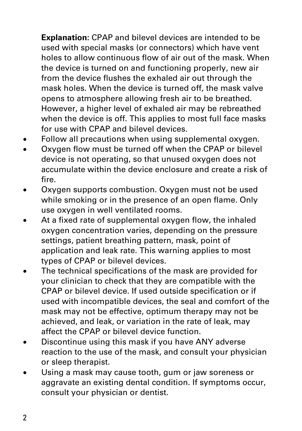**Explanation:** CPAP and bilevel devices are intended to be used with special masks (or connectors) which have vent holes to allow continuous flow of air out of the mask. When the device is turned on and functioning properly, new air from the device flushes the exhaled air out through the mask holes. When the device is turned off, the mask valve opens to atmosphere allowing fresh air to be breathed. However, a higher level of exhaled air may be rebreathed when the device is off. This applies to most full face masks for use with CPAP and bilevel devices.

- Follow all precautions when using supplemental oxygen.
- Oxygen flow must be turned off when the CPAP or bilevel device is not operating, so that unused oxygen does not accumulate within the device enclosure and create a risk of fire.
- Oxygen supports combustion. Oxygen must not be used while smoking or in the presence of an open flame. Only use oxygen in well ventilated rooms.
- At a fixed rate of supplemental oxygen flow, the inhaled oxygen concentration varies, depending on the pressure settings, patient breathing pattern, mask, point of application and leak rate. This warning applies to most types of CPAP or bilevel devices.
- The technical specifications of the mask are provided for your clinician to check that they are compatible with the CPAP or bilevel device. If used outside specification or if used with incompatible devices, the seal and comfort of the mask may not be effective, optimum therapy may not be achieved, and leak, or variation in the rate of leak, may affect the CPAP or bilevel device function.
- Discontinue using this mask if you have ANY adverse reaction to the use of the mask, and consult your physician or sleep therapist.
- Using a mask may cause tooth, gum or jaw soreness or aggravate an existing dental condition. If symptoms occur, consult your physician or dentist.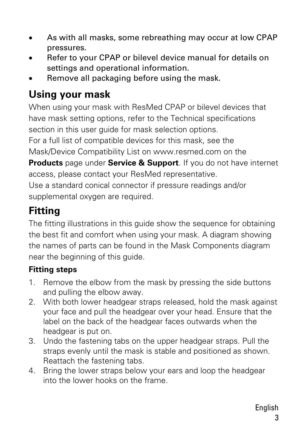- As with all masks, some rebreathing may occur at low CPAP pressures.
- Refer to your CPAP or bilevel device manual for details on settings and operational information.
- Remove all packaging before using the mask.

#### **Using your mask**

When using your mask with ResMed CPAP or bilevel devices that have mask setting options, refer to the Technical specifications section in this user quide for mask selection options.

For a full list of compatible devices for this mask, see the Mask/Device Compatibility List on www.resmed.com on the

**Products** page under **Service & Support**. If you do not have internet access, please contact your ResMed representative.

Use a standard conical connector if pressure readings and/or supplemental oxygen are required.

#### **Fitting**

The fitting illustrations in this guide show the sequence for obtaining the best fit and comfort when using your mask. A diagram showing the names of parts can be found in the Mask Components diagram near the beginning of this guide.

#### **Fitting steps**

- 1. Remove the elbow from the mask by pressing the side buttons and pulling the elbow away.
- 2. With both lower headgear straps released, hold the mask against your face and pull the headgear over your head. Ensure that the label on the back of the headgear faces outwards when the headgear is put on.
- 3. Undo the fastening tabs on the upper headgear straps. Pull the straps evenly until the mask is stable and positioned as shown. Reattach the fastening tabs.
- 4. Bring the lower straps below your ears and loop the headgear into the lower hooks on the frame.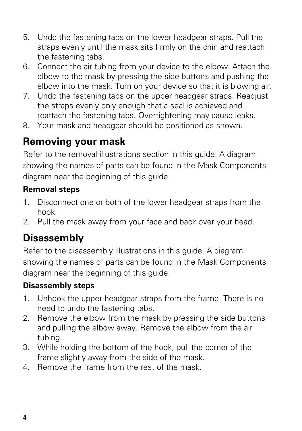- 5. Undo the fastening tabs on the lower headgear straps. Pull the straps evenly until the mask sits firmly on the chin and reattach the fastening tabs.
- 6. Connect the air tubing from your device to the elbow. Attach the elbow to the mask by pressing the side buttons and pushing the elbow into the mask. Turn on your device so that it is blowing air.
- 7. Undo the fastening tabs on the upper headgear straps. Readjust the straps evenly only enough that a seal is achieved and reattach the fastening tabs. Overtightening may cause leaks.
- 8. Your mask and headgear should be positioned as shown.

#### **Removing your mask**

Refer to the removal illustrations section in this guide. A diagram showing the names of parts can be found in the Mask Components diagram near the beginning of this guide.

#### **Removal steps**

- 1. Disconnect one or both of the lower headgear straps from the hook.
- 2. Pull the mask away from your face and back over your head.

#### **Disassembly**

Refer to the disassembly illustrations in this guide. A diagram showing the names of parts can be found in the Mask Components diagram near the beginning of this guide.

#### **Disassembly steps**

- 1. Unhook the upper headgear straps from the frame. There is no need to undo the fastening tabs.
- 2. Remove the elbow from the mask by pressing the side buttons and pulling the elbow away. Remove the elbow from the air tubing.
- 3. While holding the bottom of the hook, pull the corner of the frame slightly away from the side of the mask.
- 4. Remove the frame from the rest of the mask.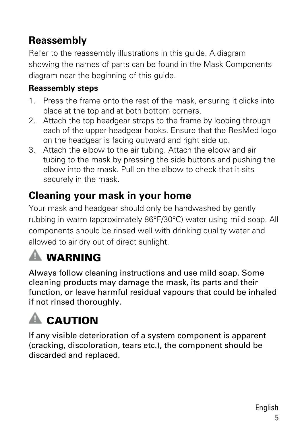### **Reassembly**

Refer to the reassembly illustrations in this guide. A diagram showing the names of parts can be found in the Mask Components diagram near the beginning of this guide.

#### **Reassembly steps**

- 1. Press the frame onto the rest of the mask, ensuring it clicks into place at the top and at both bottom corners.
- 2. Attach the top headgear straps to the frame by looping through each of the upper headgear hooks. Ensure that the ResMed logo on the headgear is facing outward and right side up.
- 3. Attach the elbow to the air tubing. Attach the elbow and air tubing to the mask by pressing the side buttons and pushing the elbow into the mask. Pull on the elbow to check that it sits securely in the mask.

#### **Cleaning your mask in your home**

Your mask and headgear should only be handwashed by gently rubbing in warm (approximately 86°F/30°C) water using mild soap. All components should be rinsed well with drinking quality water and allowed to air dry out of direct sunlight.

### **A WARNING**

Always follow cleaning instructions and use mild soap. Some cleaning products may damage the mask, its parts and their function, or leave harmful residual vapours that could be inhaled if not rinsed thoroughly.

## $\triangle$  CAUTION

If any visible deterioration of a system component is apparent (cracking, discoloration, tears etc.), the component should be discarded and replaced.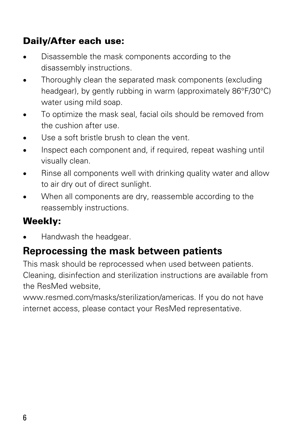#### Daily/After each use:

- Disassemble the mask components according to the disassembly instructions.
- Thoroughly clean the separated mask components (excluding headgear), by gently rubbing in warm (approximately 86°F/30°C) water using mild soap.
- To optimize the mask seal, facial oils should be removed from the cushion after use.
- Use a soft bristle brush to clean the vent.
- Inspect each component and, if required, repeat washing until visually clean.
- Rinse all components well with drinking quality water and allow to air dry out of direct sunlight.
- When all components are dry, reassemble according to the reassembly instructions.

#### Weekly:

Handwash the headgear.

#### **Reprocessing the mask between patients**

This mask should be reprocessed when used between patients. Cleaning, disinfection and sterilization instructions are available from the ResMed website,

www.resmed.com/masks/sterilization/americas. If you do not have internet access, please contact your ResMed representative.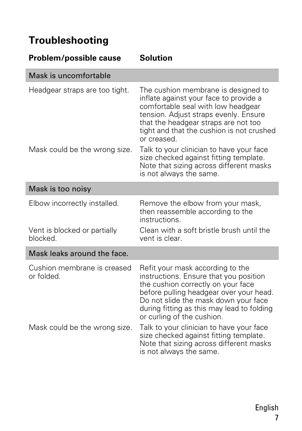#### **Troubleshooting**

| Problem/possible cause                    | <b>Solution</b>                                                                                                                                                                                                                                                                 |  |
|-------------------------------------------|---------------------------------------------------------------------------------------------------------------------------------------------------------------------------------------------------------------------------------------------------------------------------------|--|
| Mask is uncomfortable                     |                                                                                                                                                                                                                                                                                 |  |
| Headgear straps are too tight.            | The cushion membrane is designed to<br>inflate against your face to provide a<br>comfortable seal with low headgear<br>tension. Adjust straps evenly. Ensure<br>that the headgear straps are not too<br>tight and that the cushion is not crushed<br>or creased.                |  |
| Mask could be the wrong size.             | Talk to your clinician to have your face<br>size checked against fitting template.<br>Note that sizing across different masks<br>is not always the same.                                                                                                                        |  |
| Mask is too noisy                         |                                                                                                                                                                                                                                                                                 |  |
| Elbow incorrectly installed.              | Remove the elbow from your mask,<br>then reassemble according to the<br>instructions.                                                                                                                                                                                           |  |
| Vent is blocked or partially<br>blocked.  | Clean with a soft bristle brush until the<br>vent is clear.                                                                                                                                                                                                                     |  |
| Mask leaks around the face.               |                                                                                                                                                                                                                                                                                 |  |
| Cushion membrane is creased<br>or folded. | Refit your mask according to the<br>instructions. Ensure that you position<br>the cushion correctly on your face<br>before pulling headgear over your head.<br>Do not slide the mask down your face<br>during fitting as this may lead to folding<br>or curling of the cushion. |  |
| Mask could be the wrong size.             | Talk to your clinician to have your face<br>size checked against fitting template.<br>Note that sizing across different masks<br>is not always the same.                                                                                                                        |  |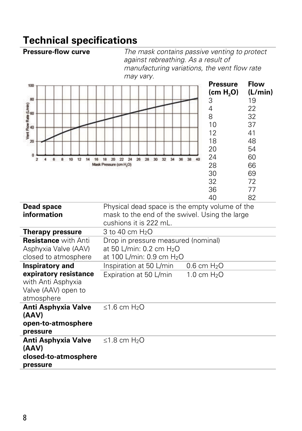# **Technical specifications**<br>**Pressure-flow curve** *The*

The mask contains passive venting to protect *against rebreathing. As a result of manufacturing variations, the vent flow rate may vary.*

| 100<br>80<br>Vent Flow Rate (Umin)<br>8<br>8<br>20<br>o<br>10<br>12<br>$\overline{2}$<br>4<br>6<br>8<br>14<br>16 | 24<br>26 28<br>30 <sub>1</sub><br>34<br>36<br>$-38$<br>18<br>20<br>22<br>32<br>40<br>Mask Pressure (cm H,O)                | <b>Pressure</b><br>(cm H <sub>2</sub> O)<br>3<br>4<br>8<br>10<br>12<br>18<br>20<br>24<br>28<br>30<br>32<br>36 | Flow<br>(L/min)<br>19<br>22<br>32<br>37<br>41<br>48<br>54<br>60<br>66<br>69<br>72<br>77 |
|------------------------------------------------------------------------------------------------------------------|----------------------------------------------------------------------------------------------------------------------------|---------------------------------------------------------------------------------------------------------------|-----------------------------------------------------------------------------------------|
| Dead space<br>information                                                                                        | Physical dead space is the empty volume of the<br>mask to the end of the swivel. Using the large<br>cushions it is 222 mL. | 40                                                                                                            | 82                                                                                      |
| <b>Therapy pressure</b>                                                                                          | 3 to 40 cm H <sub>2</sub> O                                                                                                |                                                                                                               |                                                                                         |
| <b>Resistance with Anti</b><br>Asphyxia Valve (AAV)<br>closed to atmosphere                                      | Drop in pressure measured (nominal)<br>at 50 L/min: 0.2 cm H <sub>2</sub> O<br>at 100 L/min: 0.9 cm H <sub>2</sub> O       |                                                                                                               |                                                                                         |
| <b>Inspiratory and</b>                                                                                           | Inspiration at 50 L/min                                                                                                    | $0.6 \text{ cm } H2O$                                                                                         |                                                                                         |
| expiratory resistance<br>with Anti Asphyxia<br>Valve (AAV) open to<br>atmosphere                                 | Expiration at 50 L/min                                                                                                     | $1.0 \text{ cm } H_2$ O                                                                                       |                                                                                         |
| Anti Asphyxia Valve<br>(AAV)<br>open-to-atmosphere<br>pressure                                                   | ≤1.6 cm $H_2O$                                                                                                             |                                                                                                               |                                                                                         |
| Anti Asphyxia Valve<br>(AAV)<br>closed-to-atmosphere<br>pressure                                                 | $<$ 1.8 cm $H2O$                                                                                                           |                                                                                                               |                                                                                         |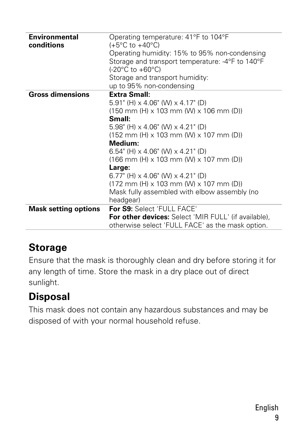| <b>Environmental</b><br>conditions | Operating temperature: 41°F to 104°F<br>$(+5^{\circ}C \text{ to } +40^{\circ}C)$<br>Operating humidity: 15% to 95% non-condensing<br>Storage and transport temperature: -4°F to 140°F<br>$(-20^{\circ}$ C to $+60^{\circ}$ C) |
|------------------------------------|-------------------------------------------------------------------------------------------------------------------------------------------------------------------------------------------------------------------------------|
|                                    | Storage and transport humidity:                                                                                                                                                                                               |
|                                    | up to 95% non-condensing                                                                                                                                                                                                      |
| <b>Gross dimensions</b>            | <b>Extra Small:</b>                                                                                                                                                                                                           |
|                                    | $5.91$ " (H) $\times$ 4.06" (W) $\times$ 4.17" (D)                                                                                                                                                                            |
|                                    | $(150 \text{ mm}$ (H) x 103 mm (W) x 106 mm (D))                                                                                                                                                                              |
|                                    | Small:                                                                                                                                                                                                                        |
|                                    |                                                                                                                                                                                                                               |
|                                    | $5.98$ " (H) $\times$ 4.06" (W) $\times$ 4.21" (D)                                                                                                                                                                            |
|                                    | $(152 \, \text{mm} \cdot \text{(H)} \times 103 \, \text{mm} \cdot \text{(W)} \times 107 \, \text{mm} \cdot \text{(D)}$                                                                                                        |
|                                    | Medium:                                                                                                                                                                                                                       |
|                                    | 6.54" (H) $\times$ 4.06" (W) $\times$ 4.21" (D)                                                                                                                                                                               |
|                                    | $(166$ mm (H) x 103 mm (W) x 107 mm (D))                                                                                                                                                                                      |
|                                    | Large:                                                                                                                                                                                                                        |
|                                    | 6.77" (H) $\times$ 4.06" (W) $\times$ 4.21" (D)                                                                                                                                                                               |
|                                    | $(172 \text{ mm}$ (H) x 103 mm (W) x 107 mm (D))                                                                                                                                                                              |
|                                    | Mask fully assembled with elbow assembly (no                                                                                                                                                                                  |
|                                    | headgear)                                                                                                                                                                                                                     |
| <b>Mask setting options</b>        | For S9: Select 'FULL FACE'                                                                                                                                                                                                    |
|                                    | <b>For other devices:</b> Select 'MIR FULL' (if available),<br>otherwise select 'FULL FACE' as the mask option.                                                                                                               |

#### **Storage**

Ensure that the mask is thoroughly clean and dry before storing it for any length of time. Store the mask in a dry place out of direct sunlight.

#### **Disposal**

This mask does not contain any hazardous substances and may be disposed of with your normal household refuse.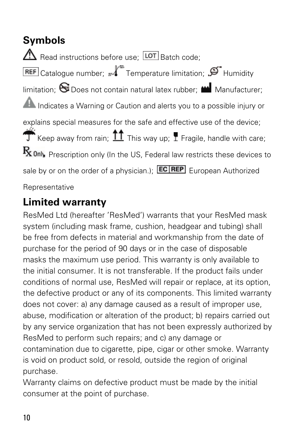**Symbols**   $\triangle$  Read instructions before use:  $\overline{LOT}$  Batch code: REF Catalogue number;  $M^*$  Temperature limitation;  $\mathfrak{S}$  Humidity  $lim$ itation:  $\bigotimes$  Does not contain natural latex rubber;  $\blacksquare$  Manufacturer; **A** Indicates a Warning or Caution and alerts you to a possible injury or explains special measures for the safe and effective use of the device; Keep away from rain;  $\prod$  This way up;  $\prod$  Fragile, handle with care;  $\mathrm{R}_{\mathrm{X}}$  only Prescription only (In the US, Federal law restricts these devices to sale by or on the order of a physician.);  $EC|REF$  European Authorized Representative

#### **Limited warranty**

ResMed Ltd (hereafter 'ResMed') warrants that your ResMed mask system (including mask frame, cushion, headgear and tubing) shall be free from defects in material and workmanship from the date of purchase for the period of 90 days or in the case of disposable masks the maximum use period. This warranty is only available to the initial consumer. It is not transferable. If the product fails under conditions of normal use, ResMed will repair or replace, at its option, the defective product or any of its components. This limited warranty does not cover: a) any damage caused as a result of improper use, abuse, modification or alteration of the product; b) repairs carried out by any service organization that has not been expressly authorized by ResMed to perform such repairs; and c) any damage or contamination due to cigarette, pipe, cigar or other smoke. Warranty is void on product sold, or resold, outside the region of original purchase.

Warranty claims on defective product must be made by the initial consumer at the point of purchase.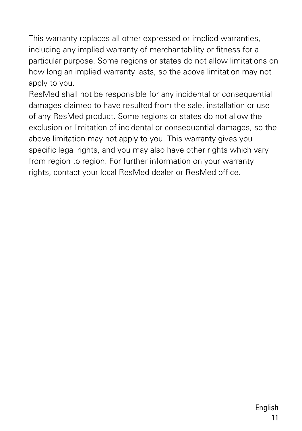This warranty replaces all other expressed or implied warranties, including any implied warranty of merchantability or fitness for a particular purpose. Some regions or states do not allow limitations on how long an implied warranty lasts, so the above limitation may not apply to you.

ResMed shall not be responsible for any incidental or consequential damages claimed to have resulted from the sale, installation or use of any ResMed product. Some regions or states do not allow the exclusion or limitation of incidental or consequential damages, so the above limitation may not apply to you. This warranty gives you specific legal rights, and you may also have other rights which vary from region to region. For further information on your warranty rights, contact your local ResMed dealer or ResMed office.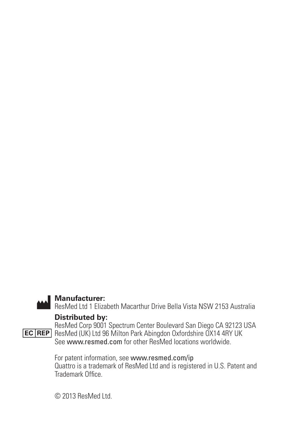

**Manufacturer:** ResMed Ltd 1 Elizabeth Macarthur Drive Bella Vista NSW 2153 Australia

#### **Distributed by:**

ResMed Corp 9001 Spectrum Center Boulevard San Diego CA 92123 USA ResMed (UK) Ltd 96 Milton Park Abingdon Oxfordshire OX14 4RY UK See www.resmed.com for other ResMed locations worldwide.

For patent information, see www.resmed.com/ip Quattro is a trademark of ResMed Ltd and is registered in U.S. Patent and Trademark Office.

© 2013 ResMed Ltd.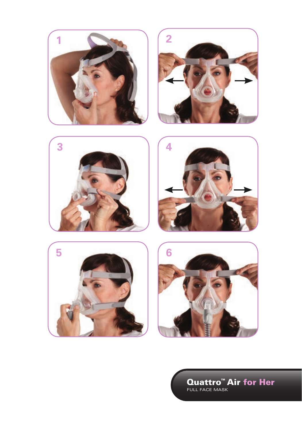











**Quattro<sup>m</sup> Air for Her**<br>FULL FACE MASK